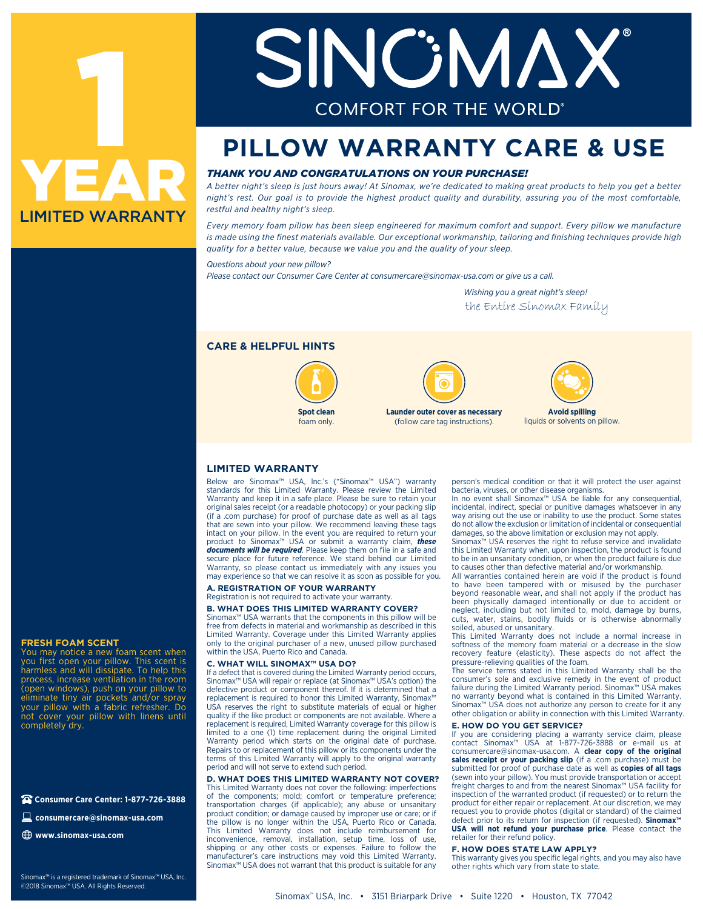

# SINGNAX **COMFORT FOR THE WORLD**

### **PILLOW WARRANTY CARE & USE**

#### *THANK YOU AND CONGRATULATIONS ON YOUR PURCHASE!*

*A better night's sleep is just hours away! At Sinomax, we're dedicated to making great products to help you get a better night's rest. Our goal is to provide the highest product quality and durability, assuring you of the most comfortable, restful and healthy night's sleep.*

*Every memory foam pillow has been sleep engineered for maximum comfort and support. Every pillow we manufacture is made using the finest materials available. Our exceptional workmanship, tailoring and finishing techniques provide high quality for a better value, because we value you and the quality of your sleep.*

*Questions about your new pillow?* 

*Please contact our Consumer Care Center at consumercare@sinomax-usa.com or give us a call.*

 *Wishing you a great night's sleep!* the Entire Sinomax Family

#### **CARE & HELPFUL HINTS**







**Avoid spilling** liquids or solvents on pillow.

#### **LIMITED WARRANTY**

Below are Sinomax™ USA, lnc.'s ("Sinomax™ USA") warranty standards for this Limited Warranty. Please review the Limited Warranty and keep it in a safe place. Please be sure to retain your original sales receipt (or a readable photocopy) or your packing slip (if a .com purchase) for proof of purchase date as well as all tags that are sewn into your pillow. We recommend leaving these tags intact on your pillow. In the event you are required to return your product to Sinomax™ USA or submit a warranty claim, *these documents will be required*. Please keep them on file in a safe and secure place for future reference. We stand behind our Limited Warranty, so please contact us immediately with any issues you may experience so that we can resolve it as soon as possible for you.

#### **A. REGISTRATION OF YOUR WARRANTY**

Registration is not required to activate your warranty.

#### **B. WHAT DOES THIS LIMITED WARRANTY COVER?**

Sinomax™ USA warrants that the components in this pillow will be free from defects in material and workmanship as described in this Limited Warranty. Coverage under this Limited Warranty applies only to the original purchaser of a new, unused pillow purchased within the USA, Puerto Rico and Canada.

#### **C. WHAT WILL SINOMAX™ USA DO?**

If a defect that is covered during the Limited Warranty period occurs, Sinomax™ USA will repair or replace (at Sinomax™ USA's option) the defective product or component thereof. If it is determined that a replacement is required to honor this Limited Warranty, Sinomax™ USA reserves the right to substitute materials of equal or higher quality if the like product or components are not available. Where a replacement is required, Limited Warranty coverage for this pillow is limited to a one (1) time replacement during the original Limited Warranty period which starts on the original date of purchase. Repairs to or replacement of this pillow or its components under the terms of this Limited Warranty will apply to the original warranty period and will not serve to extend such period.

**D. WHAT DOES THIS LIMITED WARRANTY NOT COVER?** This Limited Warranty does not cover the following: imperfections of the components; mold; comfort or temperature preference; transportation charges (if applicable); any abuse or unsanitary product condition; or damage caused by improper use or care; or if the pillow is no longer within the USA, Puerto Rico or Canada. This Limited Warranty does not include reimbursement for inconvenience, removal, installation, setup time, loss of use, shipping or any other costs or expenses. Failure to follow the manufacturer's care instructions may void this Limited Warranty. Sinomax™ USA does not warrant that this product is suitable for any

person's medical condition or that it will protect the user against

bacteria, viruses, or other disease organisms. In no event shall Sinomax™ USA be liable for any consequential, incidental, indirect, special or punitive damages whatsoever in any way arising out the use or inability to use the product. Some states do not allow the exclusion or limitation of incidental or consequential damages, so the above limitation or exclusion may not apply.

Sinomax™ USA reserves the right to refuse service and invalidate this Limited Warranty when, upon inspection, the product is found to be in an unsanitary condition, or when the product failure is due to causes other than defective material and/or workmanship.

All warranties contained herein are void if the product is found to have been tampered with or misused by the purchaser beyond reasonable wear, and shall not apply if the product has been physically damaged intentionally or due to accident or neglect, including but not limited to, mold, damage by burns, cuts, water, stains, bodily fluids or is otherwise abnormally soiled, abused or unsanitary.

This Limited Warranty does not include a normal increase in softness of the memory foam material or a decrease in the slow recovery feature (elasticity). These aspects do not affect the pressure-relieving qualities of the foam.

The service terms stated in this Limited Warranty shall be the consumer's sole and exclusive remedy in the event of product failure during the Limited Warranty period. Sinomax™ USA makes no warranty beyond what is contained in this Limited Warranty. Sinomax™ USA does not authorize any person to create for it any other obligation or ability in connection with this Limited Warranty.

#### **E. HOW DO YOU GET SERVICE?**

If you are considering placing a warranty service claim, please contact Sinomax™ USA at 1-877-726-3888 or e-mail us at consumercare@sinomax-usa.com. A **clear copy of the original**  sales receipt or your packing slip (if a .com purchase) must be submitted for proof of purchase date as well as **copies of all tags** (sewn into your pillow). You must provide transportation or accept freight charges to and from the nearest Sinomax™ USA facility for inspection of the warranted product (if requested) or to return the product for either repair or replacement. At our discretion, we may request you to provide photos (digital or standard) of the claimed defect prior to its return for inspection (if requested). **Sinomax™ USA will not refund your purchase price**. Please contact the retailer for their refund policy.

#### **F. HOW DOES STATE LAW APPLY?**

This warranty gives you specific legal rights, and you may also have other rights which vary from state to state.

#### **FRESH FOAM SCENT**

You may notice a new foam scent when you first open your pillow. This scent is harmless and will dissipate. To help this process, increase ventilation in the room (open windows), push on your pillow to eliminate tiny air pockets and/or spray your pillow with a fabric refresher. Do not cover your pillow with linens until completely dry.

**Consumer Care Center: 1-877-726-3888**

**consumercare@sinomax-usa.com**

**www.sinomax-usa.com**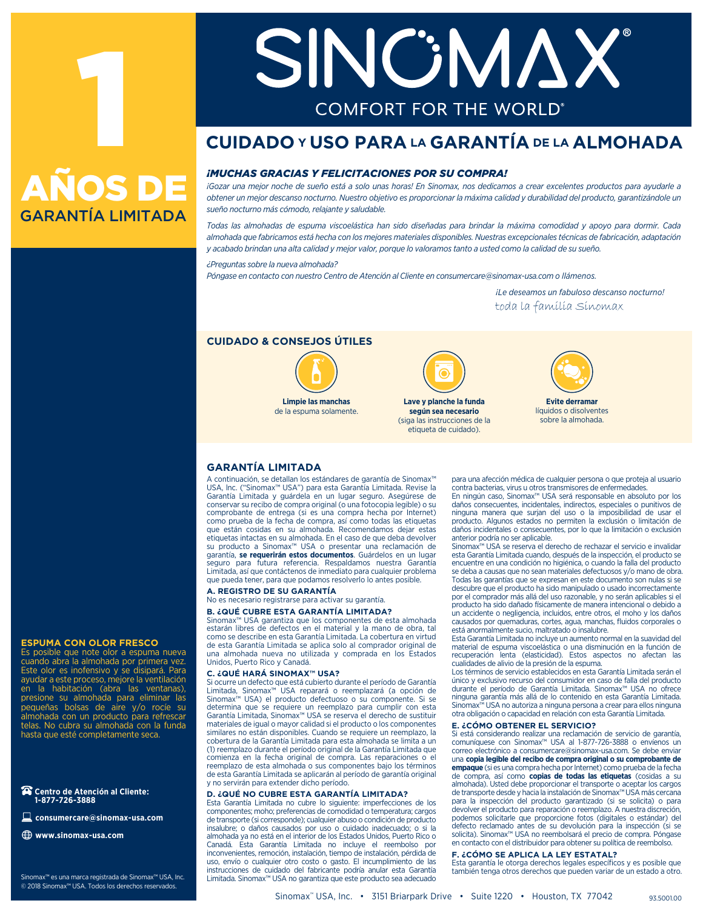# 1 GARANTÍA LIMITADA AÑOS DE

**consumercare@sinomax-usa.com**

Sinomax™ es una marca registrada de Sinomax™ USA, Inc. © 2018 Sinomax™ USA. Todos los derechos reservados.

**Centro de Atención al Cliente: 1-877-726-3888**

**ESPUMA CON OLOR FRESCO** Es posible que note olor a espuma nueva cuando abra la almohada por primera vez. Este olor es inofensivo y se disipará. Para ayudar a este proceso, mejore la ventilación en la habitación (abra las ventanas), presione su almohada para eliminar las pequeñas bolsas de aire y/o rocíe su almohada con un producto para refrescar telas. No cubra su almohada con la funda hasta que esté completamente seca.

**www.sinomax-usa.com**

# SINCEMAX **COMFORT FOR THE WORLD**

#### **CUIDADO Y USO PARA LA GARANTÍA DE LA ALMOHADA**

#### *¡MUCHAS GRACIAS Y FELICITACIONES POR SU COMPRA!*

*¡Gozar una mejor noche de sueño está a solo unas horas! En Sinomax, nos dedicamos a crear excelentes productos para ayudarle a obtener un mejor descanso nocturno. Nuestro objetivo es proporcionar la máxima calidad y durabilidad del producto, garantizándole un sueño nocturno más cómodo, relajante y saludable.*

*Todas las almohadas de espuma viscoelástica han sido diseñadas para brindar la máxima comodidad y apoyo para dormir. Cada almohada que fabricamos está hecha con los mejores materiales disponibles. Nuestras excepcionales técnicas de fabricación, adaptación y acabado brindan una alta calidad y mejor valor, porque lo valoramos tanto a usted como la calidad de su sueño.*

#### *¿Preguntas sobre la nueva almohada?*

*Póngase en contacto con nuestro Centro de Atención al Cliente en consumercare@sinomax-usa.com o llámenos.*

 *¡Le deseamos un fabuloso descanso nocturno!* toda la familia Sinomax

#### **CUIDADO & CONSEJOS ÚTILES**



**Limpie las manchas** de la espuma solamente.



**Lave y planche la funda según sea necesario** (siga las instrucciones de la etiqueta de cuidado).



**Evite derramar** líquidos o disolventes sobre la almohada

#### **GARANTÍA LIMITADA**

A continuación, se detallan los estándares de garantía de Sinomax™ USA, lnc. ("Sinomax™ USA") para esta Garantía Limitada. Revise la Garantía Limitada y guárdela en un lugar seguro. Asegúrese de conservar su recibo de compra original (o una fotocopia legible) o su comprobante de entrega (si es una compra hecha por Internet) como prueba de la fecha de compra, así como todas las etiquetas que están cosidas en su almohada. Recomendamos dejar estas etiquetas intactas en su almohada. En el caso de que deba devolver<br>su producto a Sinomax™ USA o presentar una reclamación de<br>garantía, **se requerirán estos documentos**. Guárdelos en un lugar seguro para futura referencia. Respaldamos nuestra Garantía Limitada, así que contáctenos de inmediato para cualquier problema que pueda tener, para que podamos resolverlo lo antes posible.

#### **A. REGISTRO DE SU GARANTÍA**

No es necesario registrarse para activar su garantía.

#### **B. ¿QUÉ CUBRE ESTA GARANTÍA LIMITADA?**

Sinomax™ USA garantiza que los componentes de esta almohada estarán libres de defectos en el material y la mano de obra, tal como se describe en esta Garantía Limitada. La cobertura en virtud de esta Garantía Limitada se aplica solo al comprador original de una almohada nueva no utilizada y comprada en los Estados Unidos, Puerto Rico y Canadá.

#### **C. ¿QUÉ HARÁ SINOMAX™ USA?**

Si ocurre un defecto que está cubierto durante el período de Garantía Limitada, Sinomax™ USA reparará o reemplazará (a opción de Sinomax™ USA) el producto defectuoso o su componente. Si se determina que se requiere un reemplazo para cumplir con esta Garantía Limitada, Sinomax™ USA se reserva el derecho de sustituir materiales de igual o mayor calidad si el producto o los componentes similares no están disponibles. Cuando se requiere un reemplazo, la cobertura de la Garantía Limitada para esta almohada se limita a un (1) reemplazo durante el período original de la Garantía Limitada que comienza en la fecha original de compra. Las reparaciones o el reemplazo de esta almohada o sus componentes bajo los términos de esta Garantía Limitada se aplicarán al período de garantía original y no servirán para extender dicho período.

#### **D. ¿QUÉ NO CUBRE ESTA GARANTÍA LIMITADA?**

Esta Garantía Limitada no cubre lo siguiente: imperfecciones de los componentes; moho; preferencias de comodidad o temperatura; cargos de transporte (si corresponde); cualquier abuso o condición de producto insalubre; o daños causados por uso o cuidado inadecuado; o si la almohada ya no está en el interior de los Estados Unidos, Puerto Rico o Canadá. Esta Garantía Limitada no incluye el reembolso por inconvenientes, remoción, instalación, tiempo de instalación, pérdida de uso, envío o cualquier otro costo o gasto. El incumplimiento de las instrucciones de cuidado del fabricante podría anular esta Garantía Limitada. Sinomax™ USA no garantiza que este producto sea adecuado

para una afección médica de cualquier persona o que proteja al usuario contra bacterias, virus u otros transmisores de enfermedades.

En ningún caso, Sinomax™ USA será responsable en absoluto por los daños consecuentes, incidentales, indirectos, especiales o punitivos de ninguna manera que surjan del uso o la imposibilidad de usar el producto. Algunos estados no permiten la exclusión o limitación de daños incidentales o consecuentes, por lo que la limitación o exclusión anterior podría no ser aplicable.

Sinomax™ USA se reserva el derecho de rechazar el servicio e invalidar esta Garantía Limitada cuando, después de la inspección, el producto se encuentre en una condición no higiénica, o cuando la falla del producto se deba a causas que no sean materiales defectuosos y/o mano de obra. Todas las garantías que se expresan en este documento son nulas si se descubre que el producto ha sido manipulado o usado incorrectamente por el comprador más allá del uso razonable, y no serán aplicables si el producto ha sido dañado físicamente de manera intencional o debido a un accidente o negligencia, incluidos, entre otros, el moho y los daños causados por quemaduras, cortes, agua, manchas, fluidos corporales o está anormalmente sucio, maltratado o insalubre.

Esta Garantía Limitada no incluye un aumento normal en la suavidad del material de espuma viscoelástica o una disminución en la función de recuperación lenta (elasticidad). Estos aspectos no afectan las cualidades de alivio de la presión de la espuma.

Los términos de servicio establecidos en esta Garantía Limitada serán el único y exclusivo recurso del consumidor en caso de falla del producto durante el período de Garantía Limitada. Sinomax™ USA no ofrece ninguna garantía más allá de lo contenido en esta Garantía Limitada. Sinomax™ USA no autoriza a ninguna persona a crear para ellos ninguna otra obligación o capacidad en relación con esta Garantía Limitada.

#### **E. ¿CÓMO OBTENER EL SERVICIO?**

Si está considerando realizar una reclamación de servicio de garantía, comuníquese con Sinomax™ USA al 1-877-726-3888 o envíenos un correo electrónico a consumercare@sinomax-usa.com. Se debe enviar una **copia legible del recibo de compra original o su comprobante de empaque** (si es una compra hecha por Internet) como prueba de la fecha de compra, así como **copias de todas las etiquetas** (cosidas a su almohada). Usted debe proporcionar el transporte o aceptar los cargos de transporte desde y hacia la instalación de Sinomax™ USA más cercana para la inspección del producto garantizado (si se solicita) o para devolver el producto para reparación o reemplazo. A nuestra discreción, podemos solicitarle que proporcione fotos (digitales o estándar) del defecto reclamado antes de su devolución para la inspección (si se solicita). Sinomax™ USA no reembolsará el precio de compra. Póngase en contacto con el distribuidor para obtener su política de reembolso.

#### **F. ¿CÓMO SE APLICA LA LEY ESTATAL?**

Esta garantía le otorga derechos legales específicos y es posible que también tenga otros derechos que pueden variar de un estado a otro.